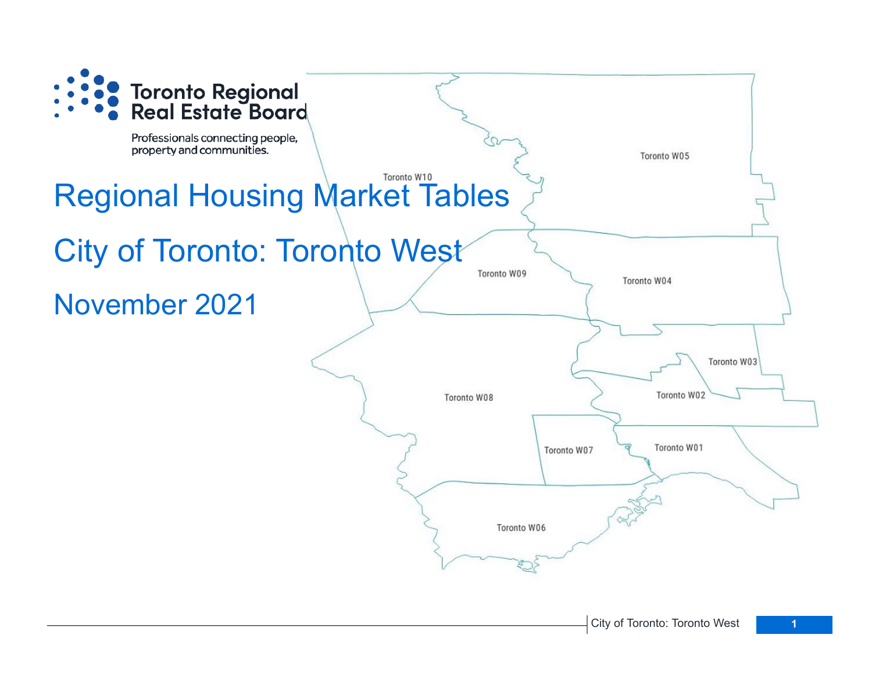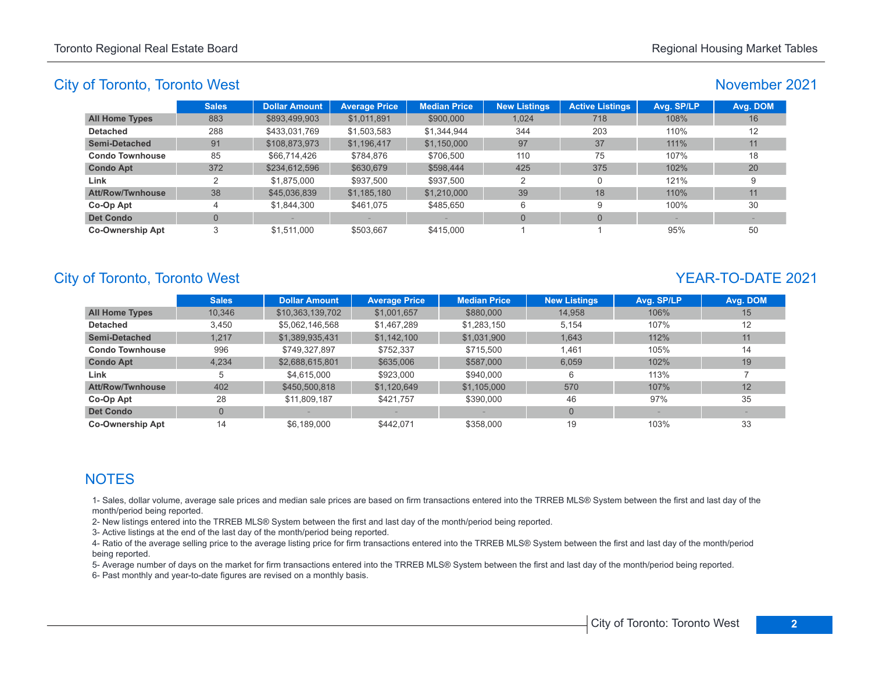#### November 2021

|                         | <b>Sales</b> | <b>Dollar Amount</b> | <b>Average Price</b> | <b>Median Price</b> | <b>New Listings</b> | <b>Active Listings</b> | Avg. SP/LP | Avg. DOM |
|-------------------------|--------------|----------------------|----------------------|---------------------|---------------------|------------------------|------------|----------|
| <b>All Home Types</b>   | 883          | \$893,499,903        | \$1,011,891          | \$900,000           | 1.024               | 718                    | 108%       | 16       |
| <b>Detached</b>         | 288          | \$433,031,769        | \$1,503,583          | \$1,344,944         | 344                 | 203                    | 110%       | 12       |
| Semi-Detached           | 91           | \$108,873,973        | \$1,196,417          | \$1,150,000         | 97                  | 37                     | $111\%$    | 11       |
| <b>Condo Townhouse</b>  | 85           | \$66,714,426         | \$784.876            | \$706.500           | 110                 | 75                     | 107%       | 18       |
| <b>Condo Apt</b>        | 372          | \$234,612,596        | \$630,679            | \$598,444           | 425                 | 375                    | 102%       | 20       |
| Link                    |              | \$1.875,000          | \$937,500            | \$937,500           | 2                   | 0                      | 121%       | 9        |
| <b>Att/Row/Twnhouse</b> | 38           | \$45,036,839         | \$1,185,180          | \$1,210,000         | 39                  | 18                     | 110%       | 11       |
| Co-Op Apt               |              | \$1,844,300          | \$461,075            | \$485,650           | 6                   | 9                      | 100%       | 30       |
| <b>Det Condo</b>        | 0            |                      |                      |                     | $\Omega$            | $\Omega$               |            |          |
| <b>Co-Ownership Apt</b> |              | \$1,511,000          | \$503,667            | \$415,000           |                     |                        | 95%        | 50       |

# City of Toronto, Toronto West **YEAR-TO-DATE** 2021

|                         | <b>Sales</b>   | <b>Dollar Amount</b> | <b>Average Price</b> | <b>Median Price</b> | <b>New Listings</b> | Avg. SP/LP | Avg. DOM |
|-------------------------|----------------|----------------------|----------------------|---------------------|---------------------|------------|----------|
| <b>All Home Types</b>   | 10.346         | \$10,363,139,702     | \$1,001,657          | \$880,000           | 14.958              | 106%       | 15       |
| <b>Detached</b>         | 3,450          | \$5,062,146,568      | \$1,467,289          | \$1,283,150         | 5.154               | 107%       | 12       |
| <b>Semi-Detached</b>    | 1,217          | \$1,389,935,431      | \$1,142,100          | \$1,031,900         | 1,643               | 112%       | 11       |
| <b>Condo Townhouse</b>  | 996            | \$749.327.897        | \$752.337            | \$715.500           | 1.461               | 105%       | 14       |
| <b>Condo Apt</b>        | 4,234          | \$2,688,615,801      | \$635,006            | \$587,000           | 6.059               | 102%       | 19       |
| Link                    | 5              | \$4.615.000          | \$923,000            | \$940,000           | 6                   | 113%       |          |
| <b>Att/Row/Twnhouse</b> | 402            | \$450,500,818        | \$1,120,649          | \$1,105,000         | 570                 | 107%       | 12       |
| Co-Op Apt               | 28             | \$11.809.187         | \$421.757            | \$390,000           | 46                  | 97%        | 35       |
| <b>Det Condo</b>        | $\overline{0}$ |                      |                      |                     | $\Omega$            |            |          |
| <b>Co-Ownership Apt</b> | 14             | \$6.189.000          | \$442.071            | \$358,000           | 19                  | 103%       | 33       |

# **NOTES**

1- Sales, dollar volume, average sale prices and median sale prices are based on firm transactions entered into the TRREB MLS® System between the first and last day of the month/period being reported.

2- New listings entered into the TRREB MLS® System between the first and last day of the month/period being reported.

3- Active listings at the end of the last day of the month/period being reported.

4- Ratio of the average selling price to the average listing price for firm transactions entered into the TRREB MLS® System between the first and last day of the month/period being reported.

5- Average number of days on the market for firm transactions entered into the TRREB MLS® System between the first and last day of the month/period being reported.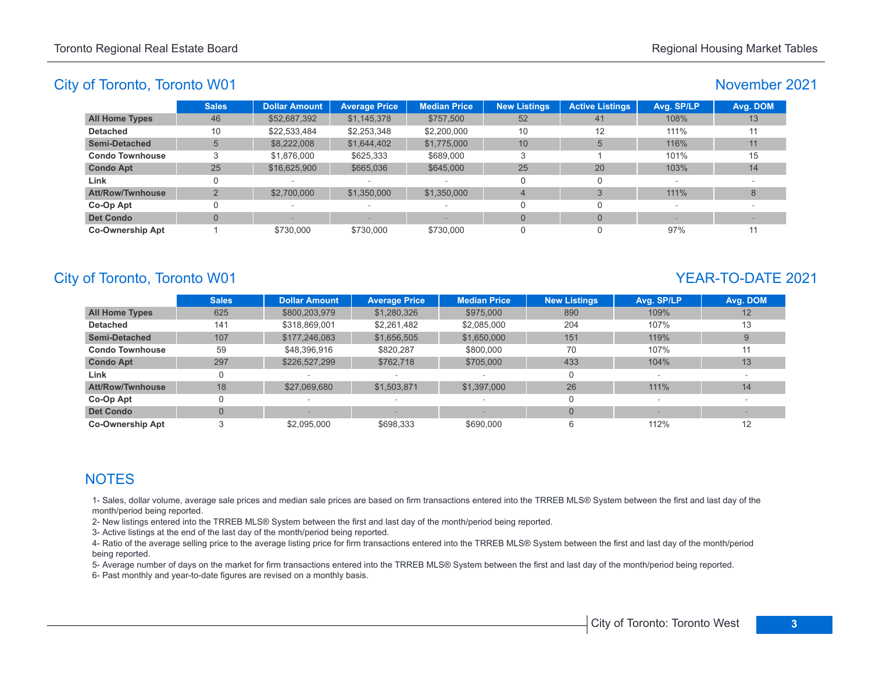#### November 2021

|                         | <b>Sales</b> | <b>Dollar Amount</b> | <b>Average Price</b>     | <b>Median Price</b>      | <b>New Listings</b> | <b>Active Listings</b> | Avg. SP/LP | Avg. DOM |
|-------------------------|--------------|----------------------|--------------------------|--------------------------|---------------------|------------------------|------------|----------|
| <b>All Home Types</b>   | 46           | \$52,687,392         | \$1,145,378              | \$757,500                | 52                  | 41                     | 108%       | 13       |
| <b>Detached</b>         | 10           | \$22,533,484         | \$2,253,348              | \$2,200,000              | 10                  | 12                     | 111%       | 11       |
| <b>Semi-Detached</b>    |              | \$8,222,008          | \$1,644,402              | \$1,775,000              | 10 <sup>1</sup>     |                        | 116%       | 11       |
| <b>Condo Townhouse</b>  |              | \$1,876,000          | \$625,333                | \$689,000                |                     |                        | 101%       | 15       |
| <b>Condo Apt</b>        | 25           | \$16,625,900         | \$665,036                | \$645,000                | 25                  | 20                     | 103%       | 14       |
| Link                    | 0            |                      | $\overline{\phantom{a}}$ |                          |                     |                        |            |          |
| <b>Att/Row/Twnhouse</b> |              | \$2,700,000          | \$1,350,000              | \$1,350,000              | $\overline{a}$      |                        | 111%       | 8        |
| Co-Op Apt               |              |                      | $\overline{\phantom{a}}$ | $\overline{\phantom{a}}$ |                     |                        |            |          |
| <b>Det Condo</b>        |              |                      |                          |                          | $\Omega$            |                        |            |          |
| <b>Co-Ownership Apt</b> |              | \$730,000            | \$730,000                | \$730,000                | $\Omega$            |                        | 97%        | 11       |

# City of Toronto, Toronto W01 YEAR-TO-DATE 2021

|                         | <b>Sales</b> | <b>Dollar Amount</b> | <b>Average Price</b> | <b>Median Price</b> | <b>New Listings</b> | Avg. SP/LP | Avg. DOM |
|-------------------------|--------------|----------------------|----------------------|---------------------|---------------------|------------|----------|
| <b>All Home Types</b>   | 625          | \$800,203,979        | \$1,280,326          | \$975,000           | 890                 | 109%       | 12       |
| <b>Detached</b>         | 141          | \$318,869,001        | \$2,261,482          | \$2,085,000         | 204                 | 107%       | 13       |
| <b>Semi-Detached</b>    | 107          | \$177,246,083        | \$1,656,505          | \$1,650,000         | 151                 | 119%       |          |
| <b>Condo Townhouse</b>  | 59           | \$48,396,916         | \$820.287            | \$800,000           | 70                  | 107%       | 11       |
| <b>Condo Apt</b>        | 297          | \$226,527,299        | \$762,718            | \$705,000           | 433                 | 104%       | 13       |
| Link                    |              |                      |                      |                     |                     |            |          |
| <b>Att/Row/Twnhouse</b> | 18           | \$27,069,680         | \$1,503,871          | \$1,397,000         | 26                  | 111%       | 14       |
| Co-Op Apt               |              |                      |                      |                     |                     |            |          |
| <b>Det Condo</b>        | $\Omega$     |                      |                      |                     |                     |            |          |
| <b>Co-Ownership Apt</b> |              | \$2.095.000          | \$698.333            | \$690,000           | 6                   | 112%       | 12       |

# **NOTES**

1- Sales, dollar volume, average sale prices and median sale prices are based on firm transactions entered into the TRREB MLS® System between the first and last day of the month/period being reported.

2- New listings entered into the TRREB MLS® System between the first and last day of the month/period being reported.

3- Active listings at the end of the last day of the month/period being reported.

4- Ratio of the average selling price to the average listing price for firm transactions entered into the TRREB MLS® System between the first and last day of the month/period being reported.

5- Average number of days on the market for firm transactions entered into the TRREB MLS® System between the first and last day of the month/period being reported.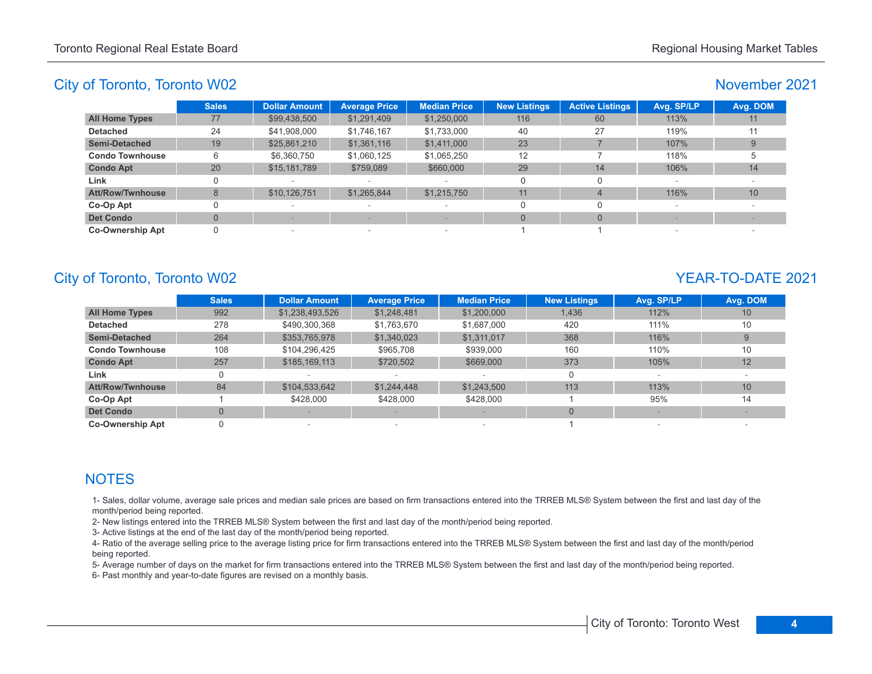#### November 2021

|                         | <b>Sales</b> | <b>Dollar Amount</b> | <b>Average Price</b>     | <b>Median Price</b>      | <b>New Listings</b> | <b>Active Listings</b> | Avg. SP/LP | Avg. DOM |
|-------------------------|--------------|----------------------|--------------------------|--------------------------|---------------------|------------------------|------------|----------|
| <b>All Home Types</b>   | 77           | \$99,438,500         | \$1,291,409              | \$1,250,000              | 116                 | 60                     | 113%       | 11       |
| <b>Detached</b>         | 24           | \$41,908,000         | \$1,746,167              | \$1,733,000              | 40                  | 27                     | 119%       |          |
| <b>Semi-Detached</b>    | 19           | \$25,861,210         | \$1,361,116              | \$1,411,000              | 23                  |                        | 107%       |          |
| <b>Condo Townhouse</b>  | 6            | \$6,360,750          | \$1,060,125              | \$1,065,250              | 12                  |                        | 118%       |          |
| <b>Condo Apt</b>        | 20           | \$15,181,789         | \$759,089                | \$660,000                | 29                  | 14                     | 106%       | 14       |
| Link                    |              |                      | $\overline{\phantom{a}}$ |                          | $\Omega$            |                        |            |          |
| <b>Att/Row/Twnhouse</b> | 8            | \$10,126,751         | \$1,265,844              | \$1,215,750              | 11                  |                        | 116%       | 10       |
| Co-Op Apt               |              |                      | $\overline{\phantom{a}}$ | -                        | $\Omega$            |                        |            |          |
| <b>Det Condo</b>        |              |                      |                          |                          | $\Omega$            |                        |            |          |
| <b>Co-Ownership Apt</b> |              | $\sim$               | $\,$                     | $\overline{\phantom{a}}$ |                     |                        |            | $\sim$   |

# City of Toronto, Toronto W02 YEAR-TO-DATE 2021

|                         | <b>Sales</b>   | <b>Dollar Amount</b> | <b>Average Price</b> | <b>Median Price</b> | <b>New Listings</b> | Avg. SP/LP | Avg. DOM |
|-------------------------|----------------|----------------------|----------------------|---------------------|---------------------|------------|----------|
| <b>All Home Types</b>   | 992            | \$1,238,493,526      | \$1,248,481          | \$1,200,000         | 1,436               | 112%       | 10       |
| <b>Detached</b>         | 278            | \$490,300,368        | \$1,763,670          | \$1,687,000         | 420                 | 111%       | 10       |
| <b>Semi-Detached</b>    | 264            | \$353,765,978        | \$1,340,023          | \$1,311,017         | 368                 | 116%       |          |
| <b>Condo Townhouse</b>  | 108            | \$104,296,425        | \$965,708            | \$939,000           | 160                 | 110%       | 10       |
| <b>Condo Apt</b>        | 257            | \$185,169,113        | \$720,502            | \$669,000           | 373                 | 105%       | 12       |
| Link                    | 0              |                      |                      |                     | $\Omega$            |            |          |
| <b>Att/Row/Twnhouse</b> | 84             | \$104,533,642        | \$1,244,448          | \$1,243,500         | 113                 | 113%       | 10       |
| Co-Op Apt               |                | \$428,000            | \$428,000            | \$428,000           |                     | 95%        | 14       |
| <b>Det Condo</b>        | $\overline{0}$ |                      |                      |                     |                     |            |          |
| <b>Co-Ownership Apt</b> |                |                      |                      |                     |                     |            |          |

# **NOTES**

1- Sales, dollar volume, average sale prices and median sale prices are based on firm transactions entered into the TRREB MLS® System between the first and last day of the month/period being reported.

2- New listings entered into the TRREB MLS® System between the first and last day of the month/period being reported.

3- Active listings at the end of the last day of the month/period being reported.

4- Ratio of the average selling price to the average listing price for firm transactions entered into the TRREB MLS® System between the first and last day of the month/period being reported.

5- Average number of days on the market for firm transactions entered into the TRREB MLS® System between the first and last day of the month/period being reported.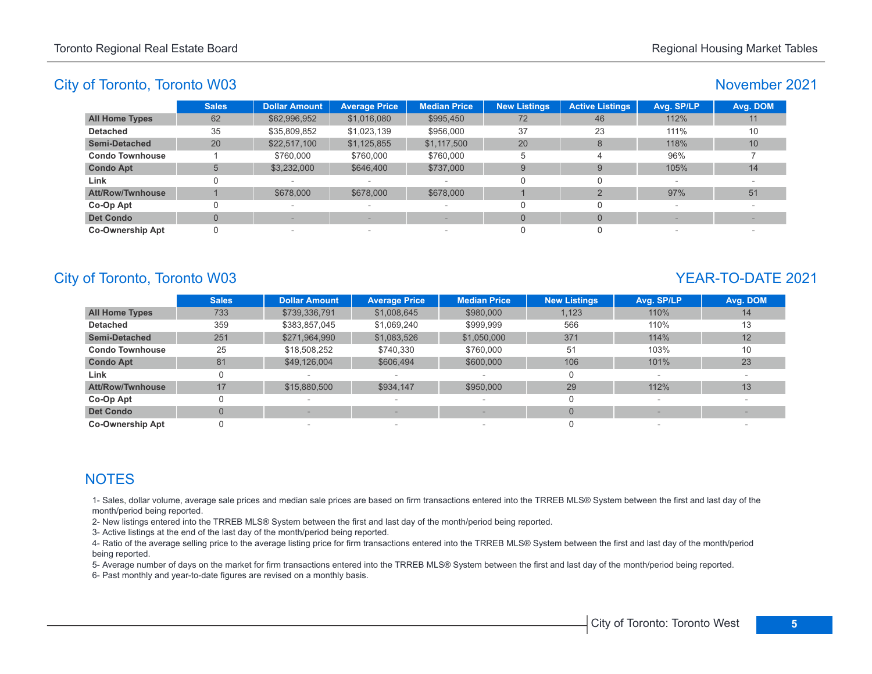## November 2021

|                         | <b>Sales</b> | <b>Dollar Amount</b> | <b>Average Price</b>     | <b>Median Price</b>      | <b>New Listings</b> | <b>Active Listings</b> | Avg. SP/LP | Avg. DOM |
|-------------------------|--------------|----------------------|--------------------------|--------------------------|---------------------|------------------------|------------|----------|
| <b>All Home Types</b>   | 62           | \$62,996,952         | \$1,016,080              | \$995,450                | 72                  | 46                     | 112%       | 11       |
| <b>Detached</b>         | 35           | \$35,809,852         | \$1,023,139              | \$956,000                | 37                  | 23                     | 111%       | 10       |
| <b>Semi-Detached</b>    | 20           | \$22,517,100         | \$1,125,855              | \$1,117,500              | 20                  | 8                      | 118%       | 10       |
| <b>Condo Townhouse</b>  |              | \$760,000            | \$760,000                | \$760,000                | 5                   |                        | 96%        |          |
| <b>Condo Apt</b>        | 5            | \$3,232,000          | \$646,400                | \$737,000                | 9                   | 9                      | 105%       | 14       |
| Link                    |              |                      | $\sim$                   | $\overline{\phantom{a}}$ |                     |                        | $\sim$     |          |
| Att/Row/Twnhouse        |              | \$678,000            | \$678,000                | \$678,000                |                     |                        | 97%        | 51       |
| Co-Op Apt               |              | $\sim$               | $\overline{\phantom{a}}$ | $\overline{\phantom{a}}$ |                     |                        |            |          |
| <b>Det Condo</b>        |              |                      |                          |                          |                     | $\Omega$               |            |          |
| <b>Co-Ownership Apt</b> |              | $\sim$               | $\sim$                   | $\overline{\phantom{a}}$ |                     |                        | $\sim$     |          |

# City of Toronto, Toronto W03 YEAR-TO-DATE 2021

|                         | <b>Sales</b> | <b>Dollar Amount</b> | <b>Average Price</b> | <b>Median Price</b>      | <b>New Listings</b> | Avg. SP/LP | Avg. DOM |
|-------------------------|--------------|----------------------|----------------------|--------------------------|---------------------|------------|----------|
| <b>All Home Types</b>   | 733          | \$739,336,791        | \$1,008,645          | \$980,000                | 1,123               | 110%       | 14       |
| <b>Detached</b>         | 359          | \$383,857,045        | \$1,069,240          | \$999.999                | 566                 | 110%       | 13       |
| <b>Semi-Detached</b>    | 251          | \$271,964,990        | \$1,083,526          | \$1,050,000              | 371                 | 114%       | 12       |
| <b>Condo Townhouse</b>  | 25           | \$18,508,252         | \$740.330            | \$760,000                | 51                  | 103%       | 10       |
| <b>Condo Apt</b>        | 81           | \$49,126,004         | \$606,494            | \$600,000                | 106                 | 101%       | 23       |
| Link                    | 0            |                      |                      |                          | 0                   |            |          |
| <b>Att/Row/Twnhouse</b> | 17           | \$15,880,500         | \$934,147            | \$950,000                | 29                  | 112%       | 13       |
| Co-Op Apt               | 0            |                      |                      | $\overline{\phantom{a}}$ | 0                   |            |          |
| <b>Det Condo</b>        | $\Omega$     |                      |                      |                          | $\Omega$            |            |          |
| <b>Co-Ownership Apt</b> |              |                      | $\sim$               |                          | 0                   |            |          |

# **NOTES**

1- Sales, dollar volume, average sale prices and median sale prices are based on firm transactions entered into the TRREB MLS® System between the first and last day of the month/period being reported.

2- New listings entered into the TRREB MLS® System between the first and last day of the month/period being reported.

3- Active listings at the end of the last day of the month/period being reported.

4- Ratio of the average selling price to the average listing price for firm transactions entered into the TRREB MLS® System between the first and last day of the month/period being reported.

5- Average number of days on the market for firm transactions entered into the TRREB MLS® System between the first and last day of the month/period being reported.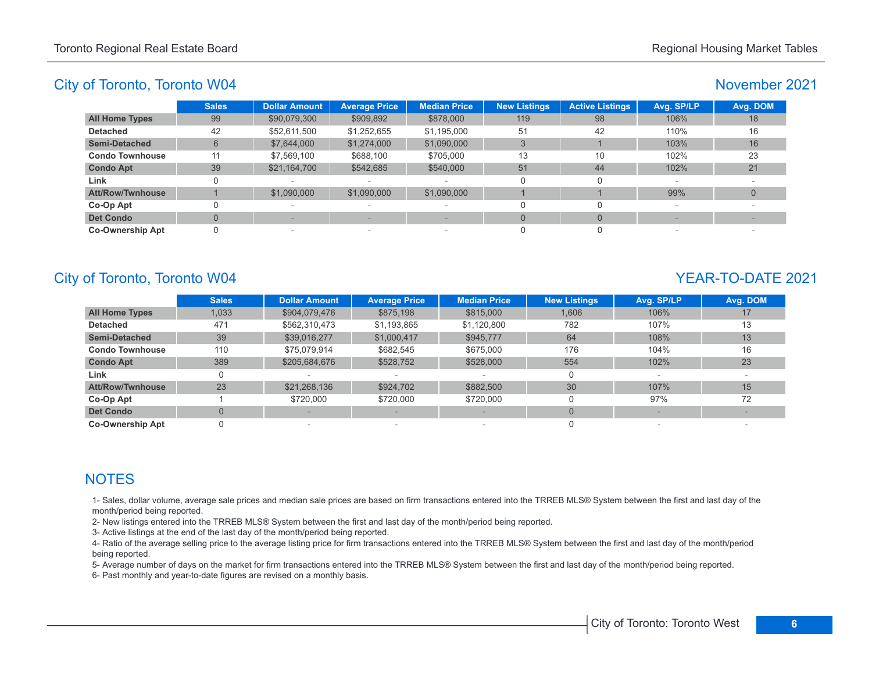# November 2021

|                         | <b>Sales</b> | <b>Dollar Amount</b> | <b>Average Price</b>     | <b>Median Price</b>             | <b>New Listings</b> | <b>Active Listings</b> | Avg. SP/LP | Avg. DOM |
|-------------------------|--------------|----------------------|--------------------------|---------------------------------|---------------------|------------------------|------------|----------|
| <b>All Home Types</b>   | 99           | \$90,079,300         | \$909,892                | \$878,000                       | 119                 | 98                     | 106%       | 18       |
| <b>Detached</b>         | 42           | \$52,611,500         | \$1,252,655              | \$1,195,000                     | 51                  | 42                     | 110%       | 16       |
| <b>Semi-Detached</b>    | 6            | \$7,644,000          | \$1,274,000              | \$1,090,000                     |                     |                        | 103%       | 16       |
| <b>Condo Townhouse</b>  | 11           | \$7,569,100          | \$688,100                | \$705.000                       | 13                  | 10                     | 102%       | 23       |
| <b>Condo Apt</b>        | 39           | \$21,164,700         | \$542,685                | \$540,000                       | 51                  | 44                     | 102%       | 21       |
| Link                    |              |                      |                          | $\overline{\phantom{a}}$        | 0                   |                        | $\sim$     |          |
| Att/Row/Twnhouse        |              | \$1,090,000          | \$1,090,000              | \$1,090,000                     |                     |                        | 99%        |          |
| Co-Op Apt               |              |                      | $\overline{\phantom{a}}$ | $\sim$                          |                     |                        |            |          |
| <b>Det Condo</b>        |              |                      |                          |                                 | $\Omega$            |                        |            |          |
| <b>Co-Ownership Apt</b> |              | $\sim$               | $\,$                     | $\hspace{0.1mm}-\hspace{0.1mm}$ |                     |                        |            |          |

# City of Toronto, Toronto W04 YEAR-TO-DATE 2021

|                         | <b>Sales</b>   | <b>Dollar Amount</b> | <b>Average Price</b> | <b>Median Price</b> | <b>New Listings</b> | Avg. SP/LP | Avg. DOM |
|-------------------------|----------------|----------------------|----------------------|---------------------|---------------------|------------|----------|
| <b>All Home Types</b>   | 1,033          | \$904,079,476        | \$875,198            | \$815,000           | 1,606               | 106%       | 17       |
| <b>Detached</b>         | 471            | \$562,310,473        | \$1,193,865          | \$1,120,800         | 782                 | 107%       | 13       |
| <b>Semi-Detached</b>    | 39             | \$39,016,277         | \$1,000,417          | \$945,777           | 64                  | 108%       | 13       |
| <b>Condo Townhouse</b>  | 110            | \$75.079.914         | \$682,545            | \$675,000           | 176                 | 104%       | 16       |
| <b>Condo Apt</b>        | 389            | \$205,684,676        | \$528,752            | \$528,000           | 554                 | 102%       | 23       |
| Link                    | 0              |                      |                      |                     |                     |            |          |
| <b>Att/Row/Twnhouse</b> | 23             | \$21,268,136         | \$924,702            | \$882.500           | 30                  | 107%       | 15       |
| Co-Op Apt               |                | \$720,000            | \$720,000            | \$720,000           |                     | 97%        | 72       |
| <b>Det Condo</b>        | $\overline{0}$ |                      |                      |                     | $\Omega$            |            |          |
| <b>Co-Ownership Apt</b> | 0              |                      | -                    |                     |                     |            |          |

# **NOTES**

1- Sales, dollar volume, average sale prices and median sale prices are based on firm transactions entered into the TRREB MLS® System between the first and last day of the month/period being reported.

2- New listings entered into the TRREB MLS® System between the first and last day of the month/period being reported.

3- Active listings at the end of the last day of the month/period being reported.

4- Ratio of the average selling price to the average listing price for firm transactions entered into the TRREB MLS® System between the first and last day of the month/period being reported.

5- Average number of days on the market for firm transactions entered into the TRREB MLS® System between the first and last day of the month/period being reported.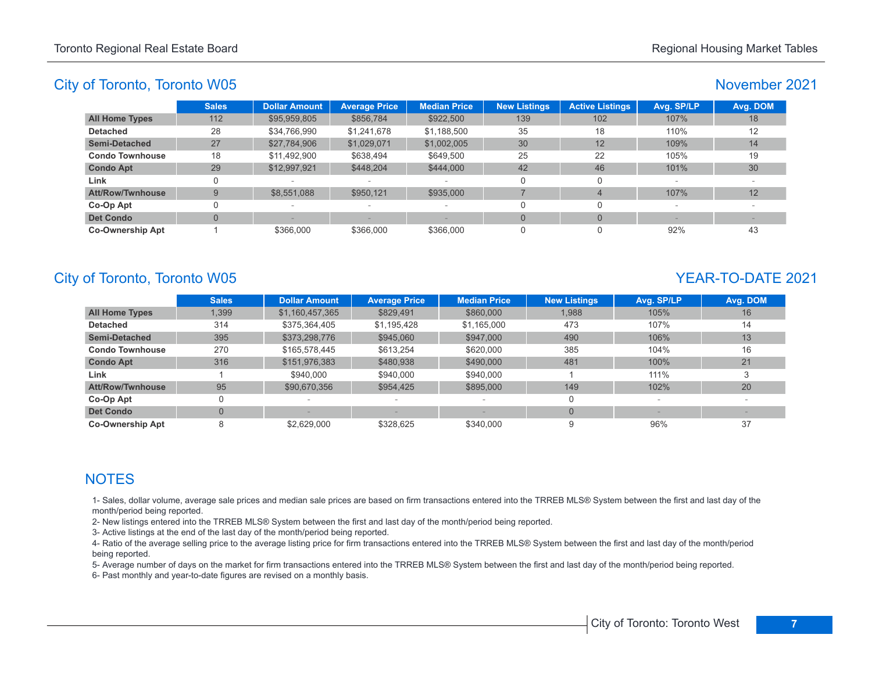## November 2021

|                         | <b>Sales</b> | <b>Dollar Amount</b> | <b>Average Price</b> | <b>Median Price</b>      | <b>New Listings</b> | <b>Active Listings</b> | Avg. SP/LP | Avg. DOM |
|-------------------------|--------------|----------------------|----------------------|--------------------------|---------------------|------------------------|------------|----------|
| <b>All Home Types</b>   | 112          | \$95,959,805         | \$856,784            | \$922,500                | 139                 | 102                    | 107%       | 18       |
| <b>Detached</b>         | 28           | \$34.766.990         | \$1,241,678          | \$1,188,500              | 35                  | 18                     | 110%       | 12       |
| Semi-Detached           | 27           | \$27,784,906         | \$1,029,071          | \$1,002,005              | 30                  | 12                     | 109%       | 14       |
| <b>Condo Townhouse</b>  | 18           | \$11,492,900         | \$638,494            | \$649.500                | 25                  | 22                     | 105%       | 19       |
| <b>Condo Apt</b>        | 29           | \$12,997,921         | \$448.204            | \$444,000                | 42                  | 46                     | 101%       | 30       |
| Link                    |              |                      |                      | $\sim$                   | $\Omega$            |                        | $\sim$     |          |
| Att/Row/Twnhouse        | 9            | \$8,551,088          | \$950,121            | \$935,000                |                     | $\overline{4}$         | 107%       | 12       |
| Co-Op Apt               |              |                      | $\sim$               | $\overline{\phantom{a}}$ |                     |                        |            |          |
| <b>Det Condo</b>        | 0            |                      |                      |                          | $\Omega$            | $\Omega$               |            |          |
| <b>Co-Ownership Apt</b> |              | \$366,000            | \$366,000            | \$366,000                | 0                   |                        | 92%        | 43       |

# City of Toronto, Toronto W05 YEAR-TO-DATE 2021

|                         | <b>Sales</b>   | <b>Dollar Amount</b> | <b>Average Price</b> | <b>Median Price</b> | <b>New Listings</b> | Avg. SP/LP | Avg. DOM |
|-------------------------|----------------|----------------------|----------------------|---------------------|---------------------|------------|----------|
| <b>All Home Types</b>   | 1,399          | \$1,160,457,365      | \$829,491            | \$860,000           | 1,988               | 105%       | 16       |
| <b>Detached</b>         | 314            | \$375,364,405        | \$1,195,428          | \$1,165,000         | 473                 | 107%       | 14       |
| <b>Semi-Detached</b>    | 395            | \$373,298,776        | \$945,060            | \$947,000           | 490                 | 106%       | 13       |
| <b>Condo Townhouse</b>  | 270            | \$165,578,445        | \$613.254            | \$620,000           | 385                 | 104%       | 16       |
| <b>Condo Apt</b>        | 316            | \$151,976,383        | \$480,938            | \$490,000           | 481                 | 100%       | 21       |
| Link                    |                | \$940,000            | \$940,000            | \$940,000           |                     | 111%       |          |
| <b>Att/Row/Twnhouse</b> | 95             | \$90,670,356         | \$954.425            | \$895,000           | 149                 | 102%       | 20       |
| Co-Op Apt               | 0              |                      | $\sim$               |                     | $\Omega$            |            |          |
| <b>Det Condo</b>        | $\overline{0}$ |                      |                      |                     |                     |            |          |
| <b>Co-Ownership Apt</b> | 8              | \$2.629.000          | \$328.625            | \$340,000           | 9                   | 96%        | 37       |

# **NOTES**

1- Sales, dollar volume, average sale prices and median sale prices are based on firm transactions entered into the TRREB MLS® System between the first and last day of the month/period being reported.

2- New listings entered into the TRREB MLS® System between the first and last day of the month/period being reported.

3- Active listings at the end of the last day of the month/period being reported.

4- Ratio of the average selling price to the average listing price for firm transactions entered into the TRREB MLS® System between the first and last day of the month/period being reported.

5- Average number of days on the market for firm transactions entered into the TRREB MLS® System between the first and last day of the month/period being reported.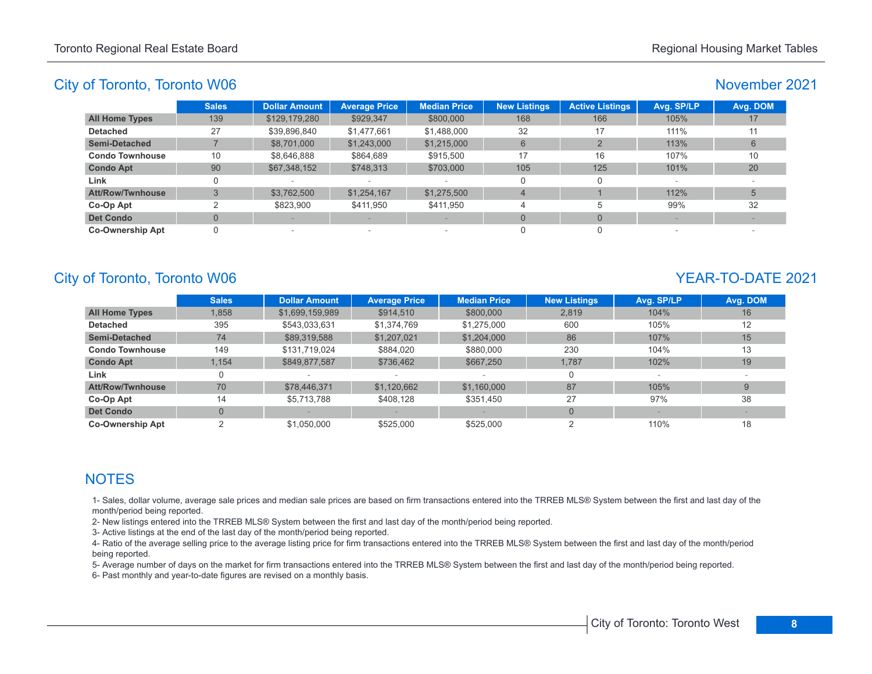## November 2021

|                         | <b>Sales</b> | <b>Dollar Amount</b> | <b>Average Price</b> | <b>Median Price</b>             | <b>New Listings</b> | <b>Active Listings</b> | Avg. SP/LP | Avg. DOM |
|-------------------------|--------------|----------------------|----------------------|---------------------------------|---------------------|------------------------|------------|----------|
| <b>All Home Types</b>   | 139          | \$129,179,280        | \$929,347            | \$800,000                       | 168                 | 166                    | 105%       | 17       |
| <b>Detached</b>         | 27           | \$39,896,840         | \$1,477,661          | \$1,488,000                     | 32                  | 17                     | 111%       | 11       |
| <b>Semi-Detached</b>    |              | \$8,701,000          | \$1,243,000          | \$1,215,000                     | 6                   |                        | 113%       |          |
| <b>Condo Townhouse</b>  | 10           | \$8.646.888          | \$864,689            | \$915.500                       | 17                  | 16                     | 107%       | 10       |
| <b>Condo Apt</b>        | 90           | \$67,348,152         | \$748,313            | \$703,000                       | 105                 | 125                    | 101%       | 20       |
| Link                    |              |                      |                      | $\overline{\phantom{a}}$        | O                   |                        | $\sim$     |          |
| Att/Row/Twnhouse        |              | \$3,762,500          | \$1,254,167          | \$1,275,500                     | $\overline{4}$      |                        | 112%       |          |
| Co-Op Apt               | ົ            | \$823,900            | \$411.950            | \$411.950                       |                     |                        | 99%        | 32       |
| <b>Det Condo</b>        |              |                      |                      |                                 | $\Omega$            | $\Omega$               |            |          |
| <b>Co-Ownership Apt</b> |              | $\sim$               | $\,$                 | $\hspace{0.1mm}-\hspace{0.1mm}$ |                     |                        |            |          |

# City of Toronto, Toronto W06 YEAR-TO-DATE 2021

|                         | <b>Sales</b>   | <b>Dollar Amount</b> | <b>Average Price</b> | <b>Median Price</b> | <b>New Listings</b> | Avg. SP/LP | Avg. DOM |
|-------------------------|----------------|----------------------|----------------------|---------------------|---------------------|------------|----------|
| <b>All Home Types</b>   | 1,858          | \$1,699,159,989      | \$914,510            | \$800,000           | 2.819               | 104%       | 16       |
| <b>Detached</b>         | 395            | \$543,033,631        | \$1,374,769          | \$1,275,000         | 600                 | 105%       | 12       |
| <b>Semi-Detached</b>    | 74             | \$89,319,588         | \$1,207,021          | \$1,204,000         | 86                  | 107%       | 15       |
| <b>Condo Townhouse</b>  | 149            | \$131,719,024        | \$884.020            | \$880,000           | 230                 | 104%       | 13       |
| <b>Condo Apt</b>        | 1.154          | \$849,877,587        | \$736,462            | \$667,250           | 1,787               | 102%       | 19       |
| Link                    | 0              |                      |                      |                     |                     |            |          |
| <b>Att/Row/Twnhouse</b> | 70             | \$78,446,371         | \$1,120,662          | \$1,160,000         | 87                  | 105%       | 9        |
| Co-Op Apt               | 14             | \$5,713,788          | \$408.128            | \$351,450           | 27                  | 97%        | 38       |
| <b>Det Condo</b>        | $\overline{0}$ |                      |                      |                     | $\Omega$            |            |          |
| <b>Co-Ownership Apt</b> |                | \$1,050,000          | \$525,000            | \$525,000           |                     | 110%       | 18       |

# **NOTES**

1- Sales, dollar volume, average sale prices and median sale prices are based on firm transactions entered into the TRREB MLS® System between the first and last day of the month/period being reported.

2- New listings entered into the TRREB MLS® System between the first and last day of the month/period being reported.

3- Active listings at the end of the last day of the month/period being reported.

4- Ratio of the average selling price to the average listing price for firm transactions entered into the TRREB MLS® System between the first and last day of the month/period being reported.

5- Average number of days on the market for firm transactions entered into the TRREB MLS® System between the first and last day of the month/period being reported.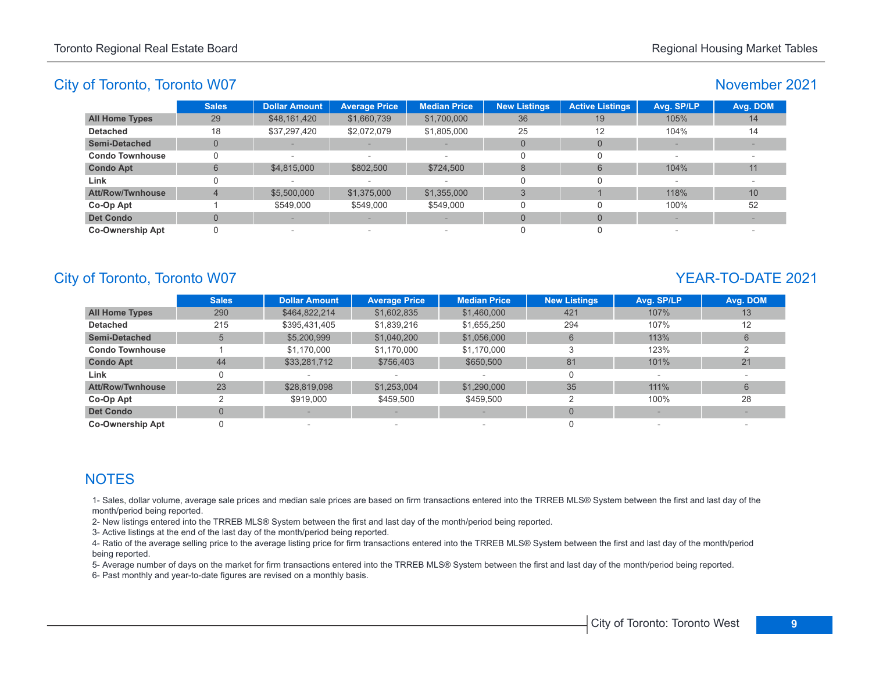#### November 2021

|                         | <b>Sales</b> | <b>Dollar Amount</b> | <b>Average Price</b> | <b>Median Price</b>             | <b>New Listings</b> | <b>Active Listings</b> | Avg. SP/LP | Avg. DOM |
|-------------------------|--------------|----------------------|----------------------|---------------------------------|---------------------|------------------------|------------|----------|
| <b>All Home Types</b>   | 29           | \$48,161,420         | \$1,660,739          | \$1,700,000                     | 36                  | 19                     | 105%       | 14       |
| <b>Detached</b>         | 18           | \$37,297,420         | \$2,072,079          | \$1,805,000                     | 25                  | 12                     | 104%       | 14       |
| <b>Semi-Detached</b>    |              |                      |                      |                                 | $\Omega$            |                        |            |          |
| <b>Condo Townhouse</b>  |              |                      | $\,$                 | $\hspace{0.1mm}-\hspace{0.1mm}$ |                     |                        |            |          |
| <b>Condo Apt</b>        | 6            | \$4,815,000          | \$802,500            | \$724,500                       | 8                   | 6                      | 104%       | 11       |
| Link                    |              |                      |                      | $\overline{\phantom{a}}$        | $\Omega$            |                        |            |          |
| <b>Att/Row/Twnhouse</b> |              | \$5,500,000          | \$1,375,000          | \$1,355,000                     |                     |                        | 118%       | 10       |
| Co-Op Apt               |              | \$549,000            | \$549,000            | \$549,000                       |                     |                        | 100%       | 52       |
| <b>Det Condo</b>        |              |                      |                      |                                 | $\Omega$            |                        |            |          |
| <b>Co-Ownership Apt</b> |              | $\sim$               | $\,$                 | $\overline{\phantom{a}}$        |                     |                        |            |          |

# City of Toronto, Toronto W07 News 2021

|                         | <b>Sales</b>   | <b>Dollar Amount</b> | <b>Average Price</b> | <b>Median Price</b> | <b>New Listings</b> | Avg. SP/LP | Avg. DOM |
|-------------------------|----------------|----------------------|----------------------|---------------------|---------------------|------------|----------|
| <b>All Home Types</b>   | 290            | \$464,822,214        | \$1,602,835          | \$1,460,000         | 421                 | 107%       | 13       |
| <b>Detached</b>         | 215            | \$395,431,405        | \$1,839,216          | \$1,655,250         | 294                 | 107%       | 12       |
| <b>Semi-Detached</b>    | 5              | \$5,200,999          | \$1,040,200          | \$1,056,000         | $6^{\circ}$         | 113%       | 6        |
| <b>Condo Townhouse</b>  |                | \$1,170,000          | \$1,170,000          | \$1,170,000         |                     | 123%       |          |
| <b>Condo Apt</b>        | 44             | \$33,281,712         | \$756,403            | \$650,500           | 81                  | 101%       | 21       |
| Link                    | 0              |                      |                      |                     | 0                   |            |          |
| <b>Att/Row/Twnhouse</b> | 23             | \$28,819,098         | \$1,253,004          | \$1,290,000         | 35                  | 111%       | 6        |
| Co-Op Apt               | っ              | \$919,000            | \$459.500            | \$459,500           | ◠                   | 100%       | 28       |
| <b>Det Condo</b>        | $\overline{0}$ |                      |                      |                     | $\Omega$            |            |          |
| <b>Co-Ownership Apt</b> |                |                      | $\qquad \qquad$      |                     |                     |            |          |

# **NOTES**

1- Sales, dollar volume, average sale prices and median sale prices are based on firm transactions entered into the TRREB MLS® System between the first and last day of the month/period being reported.

2- New listings entered into the TRREB MLS® System between the first and last day of the month/period being reported.

3- Active listings at the end of the last day of the month/period being reported.

4- Ratio of the average selling price to the average listing price for firm transactions entered into the TRREB MLS® System between the first and last day of the month/period being reported.

5- Average number of days on the market for firm transactions entered into the TRREB MLS® System between the first and last day of the month/period being reported.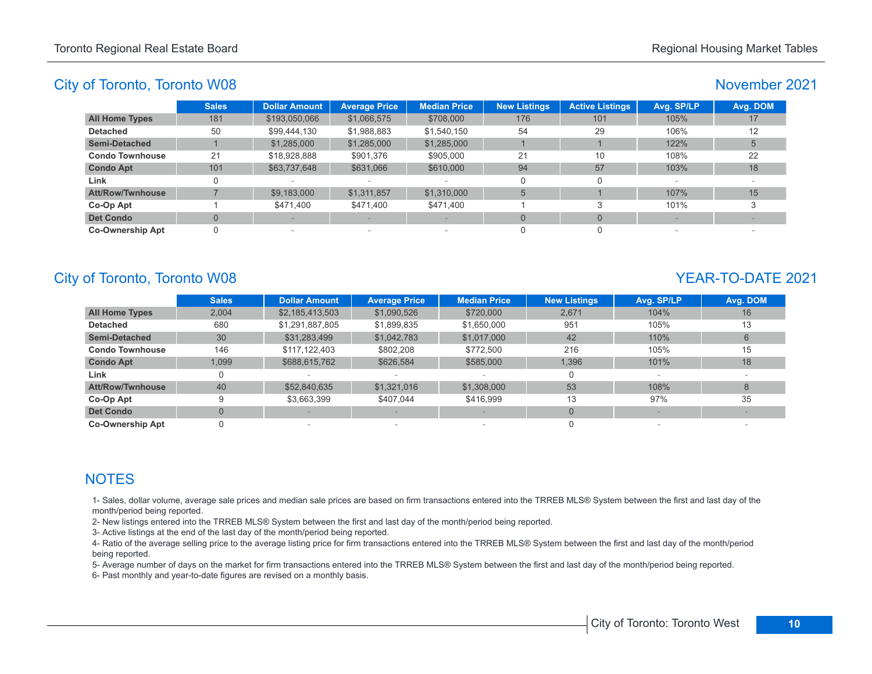# November 2021

|                         | <b>Sales</b> | <b>Dollar Amount</b> | <b>Average Price</b> | <b>Median Price</b>      | <b>New Listings</b> | <b>Active Listings</b> | Avg. SP/LP               | Avg. DOM |
|-------------------------|--------------|----------------------|----------------------|--------------------------|---------------------|------------------------|--------------------------|----------|
| <b>All Home Types</b>   | 181          | \$193,050,066        | \$1,066,575          | \$708,000                | 176                 | 101                    | 105%                     | 17       |
| <b>Detached</b>         | 50           | \$99,444,130         | \$1,988,883          | \$1,540,150              | 54                  | 29                     | 106%                     | 12       |
| <b>Semi-Detached</b>    |              | \$1,285,000          | \$1,285,000          | \$1,285,000              |                     |                        | 122%                     |          |
| <b>Condo Townhouse</b>  | 21           | \$18,928,888         | \$901,376            | \$905,000                | 21                  | 10                     | 108%                     | 22       |
| <b>Condo Apt</b>        | 101          | \$63,737,648         | \$631,066            | \$610,000                | 94                  | 57                     | 103%                     | 18       |
| Link                    |              |                      |                      | $\overline{\phantom{a}}$ | 0                   |                        | $\overline{\phantom{a}}$ |          |
| <b>Att/Row/Twnhouse</b> |              | \$9,183,000          | \$1,311,857          | \$1,310,000              | 5                   |                        | 107%                     | 15       |
| Co-Op Apt               |              | \$471.400            | \$471,400            | \$471.400                |                     |                        | 101%                     |          |
| <b>Det Condo</b>        |              |                      |                      |                          | $\Omega$            | $\Omega$               |                          |          |
| <b>Co-Ownership Apt</b> |              | $\sim$               | $\sim$               | $\overline{\phantom{a}}$ |                     |                        |                          |          |

# City of Toronto, Toronto W08 YEAR-TO-DATE 2021

|                         | <b>Sales</b>   | <b>Dollar Amount</b> | <b>Average Price</b> | <b>Median Price</b> | <b>New Listings</b> | Avg. SP/LP | Avg. DOM |
|-------------------------|----------------|----------------------|----------------------|---------------------|---------------------|------------|----------|
| <b>All Home Types</b>   | 2,004          | \$2,185,413,503      | \$1,090,526          | \$720,000           | 2,671               | 104%       | 16       |
| <b>Detached</b>         | 680            | \$1,291,887,805      | \$1,899,835          | \$1,650,000         | 951                 | 105%       | 13       |
| <b>Semi-Detached</b>    | 30             | \$31,283,499         | \$1,042,783          | \$1,017,000         | 42                  | 110%       | 6        |
| <b>Condo Townhouse</b>  | 146            | \$117,122,403        | \$802.208            | \$772,500           | 216                 | 105%       | 15       |
| <b>Condo Apt</b>        | 1,099          | \$688,615,762        | \$626,584            | \$585,000           | 1.396               | 101%       | 18       |
| Link                    | 0              |                      |                      |                     |                     |            |          |
| <b>Att/Row/Twnhouse</b> | 40             | \$52,840,635         | \$1,321,016          | \$1,308,000         | 53                  | 108%       | 8        |
| Co-Op Apt               | 9              | \$3,663,399          | \$407.044            | \$416.999           | 13                  | 97%        | 35       |
| <b>Det Condo</b>        | $\overline{0}$ |                      |                      |                     | $\Omega$            |            |          |
| <b>Co-Ownership Apt</b> |                |                      | $\qquad \qquad$      |                     |                     |            |          |

# **NOTES**

1- Sales, dollar volume, average sale prices and median sale prices are based on firm transactions entered into the TRREB MLS® System between the first and last day of the month/period being reported.

2- New listings entered into the TRREB MLS® System between the first and last day of the month/period being reported.

3- Active listings at the end of the last day of the month/period being reported.

4- Ratio of the average selling price to the average listing price for firm transactions entered into the TRREB MLS® System between the first and last day of the month/period being reported.

5- Average number of days on the market for firm transactions entered into the TRREB MLS® System between the first and last day of the month/period being reported.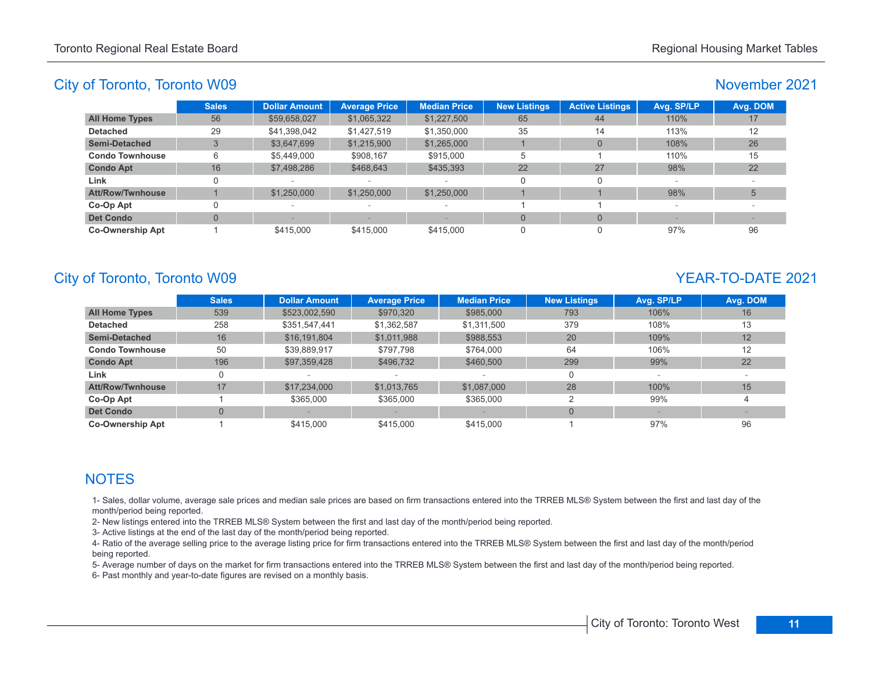## November 2021

|                         | <b>Sales</b> | <b>Dollar Amount</b> | <b>Average Price</b>            | <b>Median Price</b>      | <b>New Listings</b> | <b>Active Listings</b> | Avg. SP/LP | Avg. DOM |
|-------------------------|--------------|----------------------|---------------------------------|--------------------------|---------------------|------------------------|------------|----------|
| <b>All Home Types</b>   | 56           | \$59,658,027         | \$1,065,322                     | \$1,227,500              | 65                  | 44                     | 110%       |          |
| <b>Detached</b>         | 29           | \$41,398,042         | \$1,427,519                     | \$1,350,000              | 35                  | 14                     | 113%       | 12       |
| <b>Semi-Detached</b>    |              | \$3.647.699          | \$1,215,900                     | \$1,265,000              |                     | $\Omega$               | 108%       | 26       |
| <b>Condo Townhouse</b>  | 6            | \$5.449.000          | \$908,167                       | \$915,000                | 5                   |                        | 110%       | 15       |
| <b>Condo Apt</b>        | 16           | \$7,498,286          | \$468,643                       | \$435,393                | 22                  | 27                     | 98%        | 22       |
| Link                    |              |                      |                                 | $\overline{\phantom{a}}$ | $\Omega$            | O                      |            |          |
| <b>Att/Row/Twnhouse</b> |              | \$1,250,000          | \$1,250,000                     | \$1,250,000              |                     |                        | 98%        |          |
| Co-Op Apt               |              |                      | $\hspace{0.1mm}-\hspace{0.1mm}$ | $\overline{\phantom{a}}$ |                     |                        |            |          |
| <b>Det Condo</b>        | $\Omega$     |                      |                                 |                          | $\overline{0}$      | $\Omega$               |            |          |
| <b>Co-Ownership Apt</b> |              | \$415,000            | \$415,000                       | \$415,000                | 0                   | $\Omega$               | 97%        | 96       |

# City of Toronto, Toronto W09 YEAR-TO-DATE 2021

|                         | <b>Sales</b>   | <b>Dollar Amount</b> | <b>Average Price</b> | <b>Median Price</b> | <b>New Listings</b> | Avg. SP/LP | Avg. DOM |
|-------------------------|----------------|----------------------|----------------------|---------------------|---------------------|------------|----------|
| <b>All Home Types</b>   | 539            | \$523,002,590        | \$970,320            | \$985,000           | 793                 | 106%       | 16       |
| <b>Detached</b>         | 258            | \$351,547,441        | \$1,362,587          | \$1,311,500         | 379                 | 108%       | 13       |
| <b>Semi-Detached</b>    | 16             | \$16,191,804         | \$1,011,988          | \$988,553           | 20                  | 109%       | 12       |
| <b>Condo Townhouse</b>  | 50             | \$39,889,917         | \$797.798            | \$764.000           | 64                  | 106%       | 12       |
| <b>Condo Apt</b>        | 196            | \$97,359,428         | \$496,732            | \$460,500           | 299                 | 99%        | 22       |
| Link                    | 0              |                      |                      |                     | 0                   |            |          |
| <b>Att/Row/Twnhouse</b> | 17             | \$17,234,000         | \$1,013,765          | \$1,087,000         | 28                  | 100%       | 15       |
| Co-Op Apt               |                | \$365,000            | \$365,000            | \$365,000           |                     | 99%        | 4        |
| <b>Det Condo</b>        | $\overline{0}$ |                      |                      |                     |                     |            |          |
| <b>Co-Ownership Apt</b> |                | \$415,000            | \$415,000            | \$415,000           |                     | 97%        | 96       |

# **NOTES**

1- Sales, dollar volume, average sale prices and median sale prices are based on firm transactions entered into the TRREB MLS® System between the first and last day of the month/period being reported.

2- New listings entered into the TRREB MLS® System between the first and last day of the month/period being reported.

3- Active listings at the end of the last day of the month/period being reported.

4- Ratio of the average selling price to the average listing price for firm transactions entered into the TRREB MLS® System between the first and last day of the month/period being reported.

5- Average number of days on the market for firm transactions entered into the TRREB MLS® System between the first and last day of the month/period being reported.